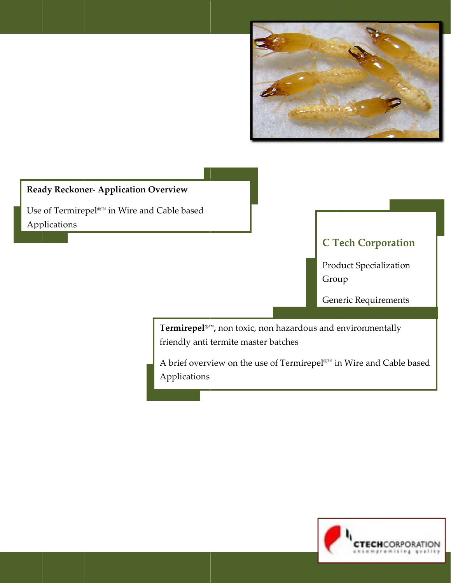

# **Ready Reckoner- Application Overview**

Use of Termirepel<br>@I^& in Wire and Cable based Applications

**C Tech Corporation** 

**Product Specialization** Group

Generic Requirements

Termirepel<sup>®™</sup>, non toxic, non hazardous and environmentally friendly anti termite master batches

A brief overview on the use of Termirepel<br>@mi in Wire and Cable based Applications

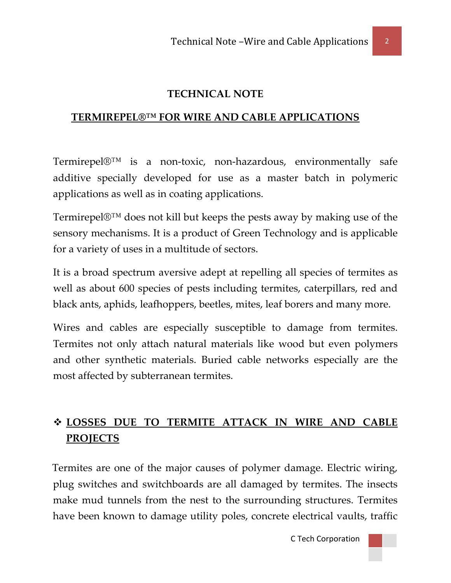# **TECHNICAL NOTE**

## **TERMIREPEL®™ FOR WIRE AND CABLE APPLICATIONS**

Termirepel®™ is a non‐toxic, non‐hazardous, environmentally safe additive specially developed for use as a master batch in polymeric applications as well as in coating applications.

Termirepel®™ does not kill but keeps the pests away by making use of the sensory mechanisms. It is a product of Green Technology and is applicable for a variety of uses in a multitude of sectors.

It is a broad spectrum aversive adept at repelling all species of termites as well as about 600 species of pests including termites, caterpillars, red and black ants, aphids, leafhoppers, beetles, mites, leaf borers and many more.

Wires and cables are especially susceptible to damage from termites. Termites not only attach natural materials like wood but even polymers and other synthetic materials. Buried cable networks especially are the most affected by subterranean termites.

# **LOSSES DUE TO TERMITE ATTACK IN WIRE AND CABLE PROJECTS**

 Termites are one of the major causes of polymer damage. Electric wiring, plug switches and switchboards are all damaged by termites. The insects make mud tunnels from the nest to the surrounding structures. Termites have been known to damage utility poles, concrete electrical vaults, traffic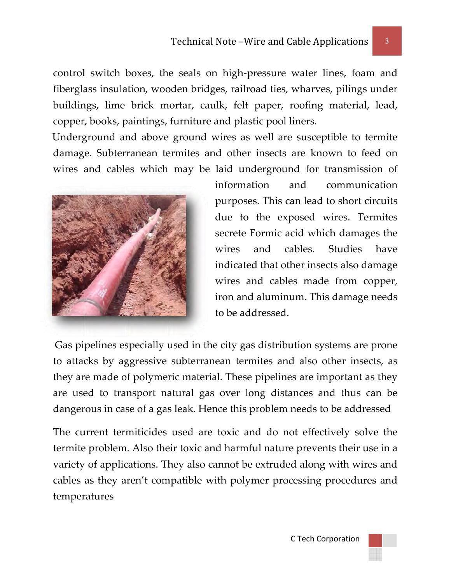control switch boxes, the seals on high-pressure water lines, foam and fiberglass insulation, wooden bridges, railroad ties, wharves, pilings under buildings, lime brick mortar, caulk, felt paper, roofing material, lead, copper, books, paintings, furniture and plastic pool liners.

Underground and above ground wires as well are susceptible to termite damage. Subterranean termites and other insects are known to feed on wires and cables which may be laid underground for transmission of



informat tion an purposes. This can lead to short circuits due to the exposed wires. Termites secrete F Formic ac id which damages s the wires indicated that other insects also damage wires and cables made from copper, iron and aluminum. This damage needs to be add dressed. and nd communication cables. Studies h have

Gas pipelines especially used in the city gas distribution systems are prone to attacks by aggressive subterranean termites and also other insects, as they are made of polymeric material. These pipelines are important as they are used to transport natural gas over long distances and thus can be dangerous in case of a gas leak. Hence this problem needs to be addressed

The current termiticides used are toxic and do not effectively solve the termite problem. Also their toxic and harmful nature prevents their use in a variety of applications. They also cannot be extruded along with wires and cables as they aren't compatible with polymer processing procedures and temperatures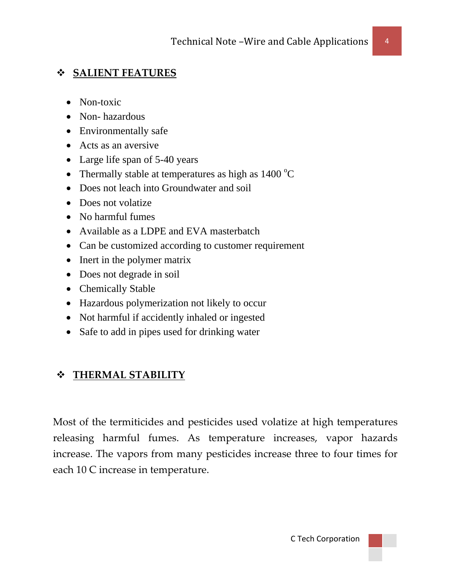### **SALIENT FEATURES**

- Non-toxic
- Non-hazardous
- Environmentally safe
- Acts as an aversive
- Large life span of 5-40 years
- Thermally stable at temperatures as high as  $1400^{\circ}$ C
- Does not leach into Groundwater and soil
- Does not volatize
- No harmful fumes
- Available as a LDPE and EVA masterbatch
- Can be customized according to customer requirement
- Inert in the polymer matrix
- Does not degrade in soil
- Chemically Stable
- Hazardous polymerization not likely to occur
- Not harmful if accidently inhaled or ingested
- Safe to add in pipes used for drinking water

## **THERMAL STABILITY**

Most of the termiticides and pesticides used volatize at high temperatures releasing harmful fumes. As temperature increases, vapor hazards increase. The vapors from many pesticides increase three to four times for each 10 C increase in temperature.

C Tech Corporation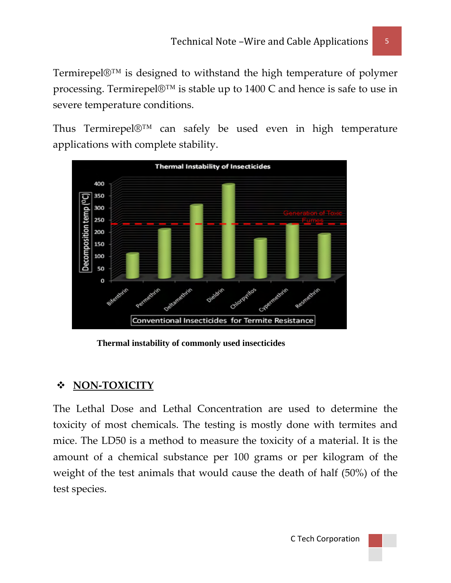Termirepel®™ is designed to withstand the high temperature of polymer processing. Termirepel®™ is stable up to 1400 C and hence is safe to use in severe temperature conditions.

Thus Termirepel®™ can safely be used even in high temperature applications with complete stability.



 **Thermal instability of commonly used insecticides** 

# **NON‐TOXICITY**

The Lethal Dose and Lethal Concentration are used to determine the toxicity of most chemicals. The testing is mostly done with termites and mice. The LD50 is a method to measure the toxicity of a material. It is the amount of a chemical substance per 100 grams or per kilogram of the weight of the test animals that would cause the death of half (50%) of the test species.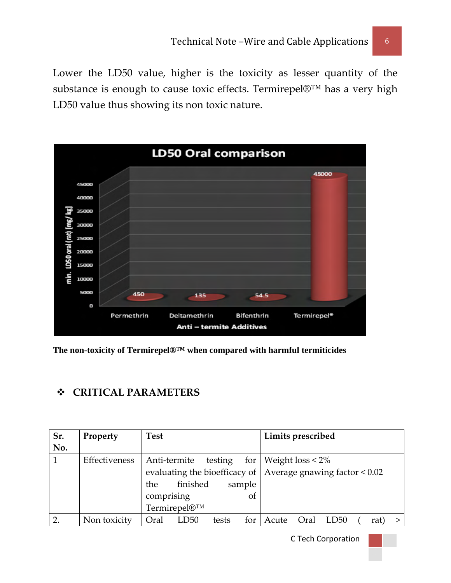Lower the LD50 value, higher is the toxicity as lesser quantity of the substance is enough to cause toxic effects. Termirepel®™ has a very high LD50 value thus showing its non toxic nature.



**The non-toxicity of Termirepel®™ when compared with harmful termiticides** 

# **CRITICAL PARAMETERS**

| Sr. | Property      | <b>Test</b>                  | Limits prescribed                                                   |
|-----|---------------|------------------------------|---------------------------------------------------------------------|
| No. |               |                              |                                                                     |
|     | Effectiveness | Anti-termite                 | testing for   Weight $loss < 2\%$                                   |
|     |               |                              | evaluating the bioefficacy of $\vert$ Average gnawing factor < 0.02 |
|     |               | finished<br>sample<br>the    |                                                                     |
|     |               | comprising<br>0t             |                                                                     |
|     |               | Termirepel®™                 |                                                                     |
|     | Non toxicity  | LD50<br>Oral<br>for<br>tests | Acute<br>Oral<br>LD <sub>50</sub><br>rat                            |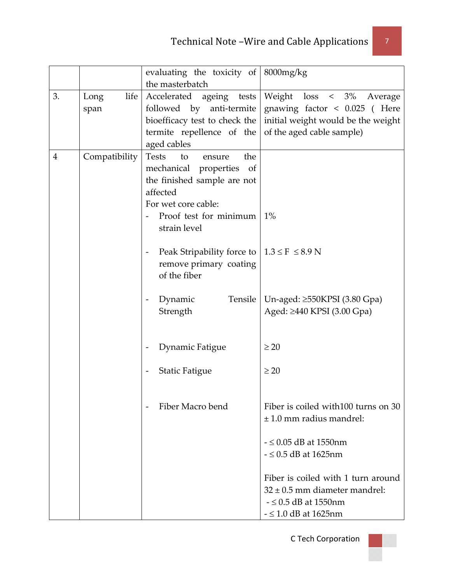|                |               | evaluating the toxicity of 8000mg/kg                                           |                                      |
|----------------|---------------|--------------------------------------------------------------------------------|--------------------------------------|
|                |               | the masterbatch                                                                |                                      |
| 3.             | life<br>Long  | Accelerated ageing tests                                                       | Weight loss < 3%<br>Average          |
|                | span          | followed by anti-termite                                                       | gnawing factor $\lt$ 0.025 ( Here    |
|                |               | bioefficacy test to check the                                                  | initial weight would be the weight   |
|                |               | termite repellence of the                                                      | of the aged cable sample)            |
|                |               | aged cables                                                                    |                                      |
| $\overline{4}$ | Compatibility | <b>Tests</b><br>to<br>the<br>ensure                                            |                                      |
|                |               | mechanical properties<br>of                                                    |                                      |
|                |               | the finished sample are not                                                    |                                      |
|                |               | affected                                                                       |                                      |
|                |               | For wet core cable:                                                            |                                      |
|                |               | Proof test for minimum                                                         | $1\%$                                |
|                |               | strain level                                                                   |                                      |
|                |               |                                                                                |                                      |
|                |               | Peak Stripability force to $  1.3 \le F \le 8.9 N$<br>$\overline{\phantom{a}}$ |                                      |
|                |               | remove primary coating                                                         |                                      |
|                |               | of the fiber                                                                   |                                      |
|                |               |                                                                                |                                      |
|                |               | Dynamic<br>Tensile                                                             | Un-aged: $\geq$ 550KPSI (3.80 Gpa)   |
|                |               | Strength                                                                       | Aged: ≥440 KPSI (3.00 Gpa)           |
|                |               |                                                                                |                                      |
|                |               | Dynamic Fatigue                                                                | $\geq 20$                            |
|                |               |                                                                                |                                      |
|                |               | <b>Static Fatigue</b>                                                          | $\geq 20$                            |
|                |               |                                                                                |                                      |
|                |               |                                                                                |                                      |
|                |               | Fiber Macro bend<br>$\overline{\phantom{a}}$                                   | Fiber is coiled with 100 turns on 30 |
|                |               |                                                                                | $\pm$ 1.0 mm radius mandrel:         |
|                |               |                                                                                |                                      |
|                |               |                                                                                | $ \leq$ 0.05 dB at 1550nm            |
|                |               |                                                                                | $ \leq$ 0.5 dB at 1625nm             |
|                |               |                                                                                |                                      |
|                |               |                                                                                | Fiber is coiled with 1 turn around   |
|                |               |                                                                                | $32 \pm 0.5$ mm diameter mandrel:    |
|                |               |                                                                                | $ \leq$ 0.5 dB at 1550nm             |
|                |               |                                                                                | $ \leq$ 1.0 dB at 1625nm             |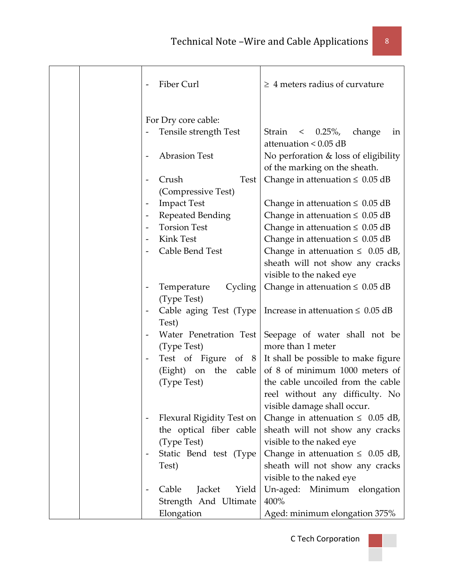|  |                          | Fiber Curl                                   | $\geq 4$ meters radius of curvature                                   |
|--|--------------------------|----------------------------------------------|-----------------------------------------------------------------------|
|  |                          | For Dry core cable:<br>Tensile strength Test | $\langle 0.25\%, \,$<br>change<br>Strain<br>in                        |
|  |                          |                                              | attenuation $< 0.05$ dB                                               |
|  |                          | <b>Abrasion Test</b>                         | No perforation & loss of eligibility<br>of the marking on the sheath. |
|  |                          | Crush<br><b>Test</b><br>(Compressive Test)   | Change in attenuation $\leq 0.05$ dB                                  |
|  | $\overline{\phantom{a}}$ | <b>Impact Test</b>                           | Change in attenuation $\leq 0.05$ dB                                  |
|  | $\overline{\phantom{a}}$ | Repeated Bending                             | Change in attenuation $\leq 0.05$ dB                                  |
|  |                          | <b>Torsion Test</b>                          | Change in attenuation $\leq 0.05$ dB                                  |
|  |                          | Kink Test                                    | Change in attenuation $\leq 0.05$ dB                                  |
|  |                          | Cable Bend Test                              | Change in attenuation $\leq 0.05$ dB,                                 |
|  |                          |                                              | sheath will not show any cracks                                       |
|  |                          |                                              | visible to the naked eye                                              |
|  | $\overline{\phantom{a}}$ | Cycling<br>Temperature                       | Change in attenuation $\leq 0.05$ dB                                  |
|  |                          | (Type Test)                                  |                                                                       |
|  |                          | Cable aging Test (Type<br>Test)              | Increase in attenuation $\leq 0.05$ dB                                |
|  |                          | Water Penetration Test                       | Seepage of water shall not be                                         |
|  |                          | (Type Test)                                  | more than 1 meter                                                     |
|  |                          | Test of Figure of 8                          | It shall be possible to make figure                                   |
|  |                          | on the<br>(Eight)<br>cable                   | of 8 of minimum 1000 meters of                                        |
|  |                          | (Type Test)                                  | the cable uncoiled from the cable                                     |
|  |                          |                                              | reel without any difficulty. No                                       |
|  |                          |                                              | visible damage shall occur.                                           |
|  |                          | Flexural Rigidity Test on                    | Change in attenuation $\leq 0.05$ dB,                                 |
|  |                          | the optical fiber cable                      | sheath will not show any cracks                                       |
|  |                          | (Type Test)                                  | visible to the naked eye                                              |
|  |                          | Static Bend test (Type                       | Change in attenuation $\leq 0.05$ dB,                                 |
|  |                          | Test)                                        | sheath will not show any cracks                                       |
|  |                          |                                              | visible to the naked eye                                              |
|  | $\overline{\phantom{a}}$ | Yield<br>Cable<br>Jacket                     | Un-aged: Minimum elongation                                           |
|  |                          | Strength And Ultimate                        | 400%                                                                  |
|  |                          | Elongation                                   | Aged: minimum elongation 375%                                         |

<u> 1989 - Johann Barnett, fransk politik (</u>

٦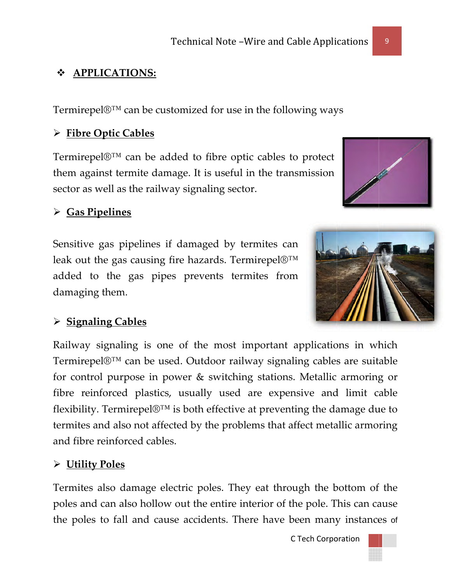#### **APPLICATIONS:**  $\frac{1}{2}$

Termirepel $\mathbb{D}^{TM}$  can be customized for use in the following ways

# > Fibre Optic Cables

Termirepel $\mathbb{D}^{TM}$  can be added to fibre optic cables to protect them against termite damage. It is useful in the transmission sector as well as the railway signaling sector.

# $\triangleright$  Gas Pipelines

Sensitive gas pipelines if damaged by termites can leak out the gas causing fire hazards. Termirepel $\mathbb{D}^{TM}$ added to the gas pipes prevents termites from damaging them.



# $\triangleright$  Signaling Cables

Railway signaling is one of the most important applications in which Termirepel®™ can be used. Outdoor railway signaling cables are suitable for control purpose in power & switching stations. Metallic armoring or fibre reinforced plastics, usually used are expensive and limit cable flexibility. Termirepel $\mathbb{D}^{TM}$  is both effective at preventing the damage due to termites and also not affected by the problems that affect metallic armoring and fibre reinforced cables.

## > Utility Poles

Termites also damage electric poles. They eat through the bottom of the poles and can also hollow out the entire interior of the pole. This can cause the poles to fall and cause accidents. There have been many instances of

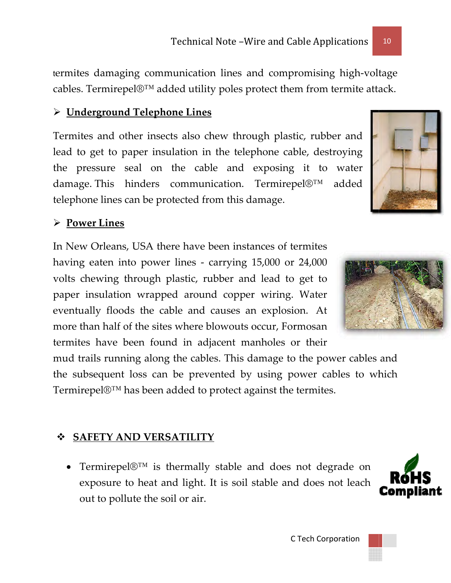termites damaging communication lines and compromising high-voltage cables. Termirepel $\mathbb{O}^{TM}$  added utility poles protect them from termite attack.

# $\triangleright$  Underground Telephone Lines

Termites and other insects also chew through plastic, rubber and lead to get to paper insulation in the telephone cable, destroying the pressure seal on the cable and exposing it to water damage. This hinders communication. Termirepel®™ added telephone lines can be protected from this damage.

### $\triangleright$  Power Lines

In New Orleans, USA there have been instances of termites having eaten into power lines - carrying 15,000 or 24,000 volts chewing through plastic, rubber and lead to get to paper insulation wrapped around copper wiring. Water eventually floods the cable and causes an explosion. At more than half of the sites where blowouts occur. Formosan termites have been found in adjacent manholes or their

mud trails running along the cables. This damage to the power cables and the subsequent loss can be prevented by using power cables to which Termirepel®™ has been added to protect against the termites.

## **SAFETY AND VERSATILITY**

• Termirepel $\mathbb{D}^{TM}$  is thermally stable and does not degrade on exposure to heat and light. It is soil stable and does not leach out to pollute the soil or air.







10